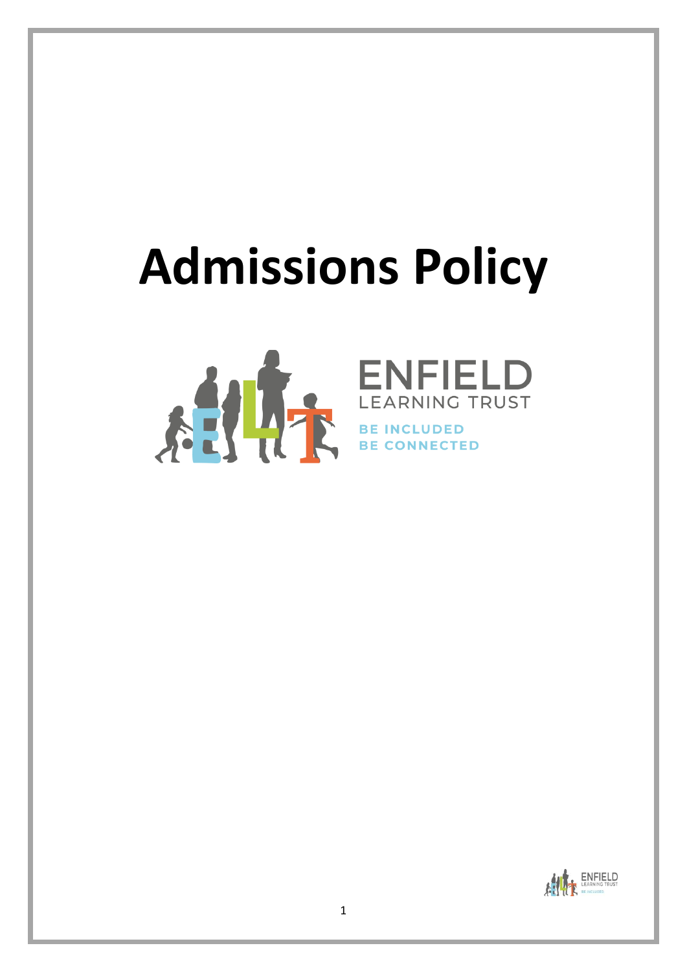# **Admissions Policy**





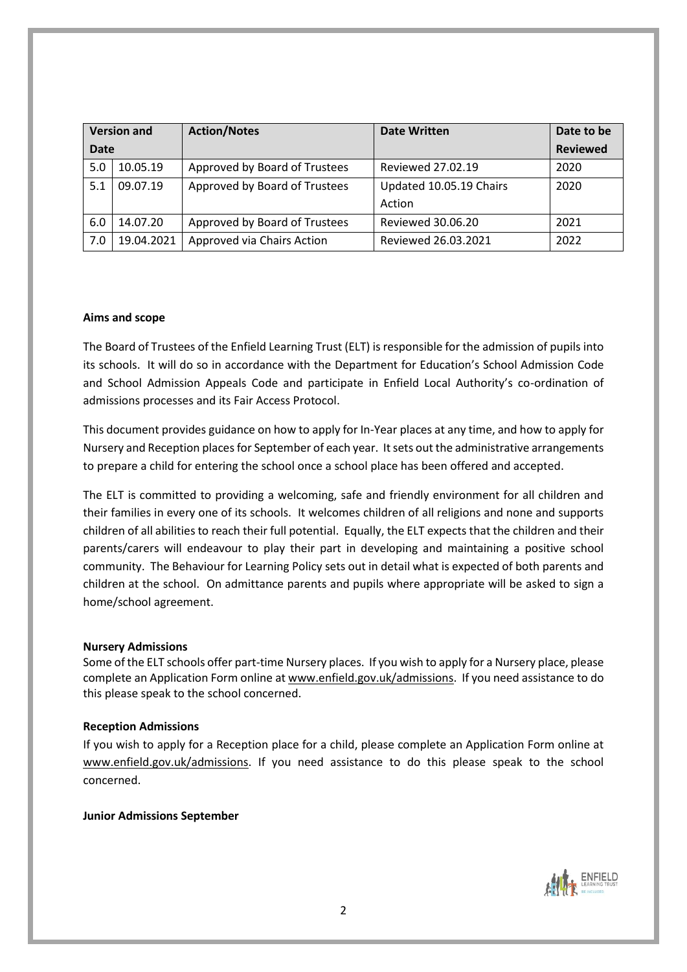| <b>Version and</b> |            | <b>Action/Notes</b>           | <b>Date Written</b>     | Date to be      |
|--------------------|------------|-------------------------------|-------------------------|-----------------|
| <b>Date</b>        |            |                               |                         | <b>Reviewed</b> |
| 5.0                | 10.05.19   | Approved by Board of Trustees | Reviewed 27.02.19       | 2020            |
| 5.1                | 09.07.19   | Approved by Board of Trustees | Updated 10.05.19 Chairs | 2020            |
|                    |            |                               | Action                  |                 |
| 6.0                | 14.07.20   | Approved by Board of Trustees | Reviewed 30.06.20       | 2021            |
| 7.0                | 19.04.2021 | Approved via Chairs Action    | Reviewed 26.03.2021     | 2022            |

### **Aims and scope**

The Board of Trustees of the Enfield Learning Trust (ELT) is responsible for the admission of pupils into its schools. It will do so in accordance with the Department for Education's School Admission Code and School Admission Appeals Code and participate in Enfield Local Authority's co-ordination of admissions processes and its Fair Access Protocol.

This document provides guidance on how to apply for In-Year places at any time, and how to apply for Nursery and Reception places for September of each year. It sets out the administrative arrangements to prepare a child for entering the school once a school place has been offered and accepted.

The ELT is committed to providing a welcoming, safe and friendly environment for all children and their families in every one of its schools. It welcomes children of all religions and none and supports children of all abilities to reach their full potential. Equally, the ELT expects that the children and their parents/carers will endeavour to play their part in developing and maintaining a positive school community. The Behaviour for Learning Policy sets out in detail what is expected of both parents and children at the school. On admittance parents and pupils where appropriate will be asked to sign a home/school agreement.

### **Nursery Admissions**

Some of the ELT schools offer part-time Nursery places. If you wish to apply for a Nursery place, please complete an Application Form online at [www.enfield.gov.uk/admissions.](http://www.enfield.gov.uk/admissions) If you need assistance to do this please speak to the school concerned.

## **Reception Admissions**

If you wish to apply for a Reception place for a child, please complete an Application Form online at [www.enfield.gov.uk/admissions.](http://www.enfield.gov.uk/admissions) If you need assistance to do this please speak to the school concerned.

### **Junior Admissions September**

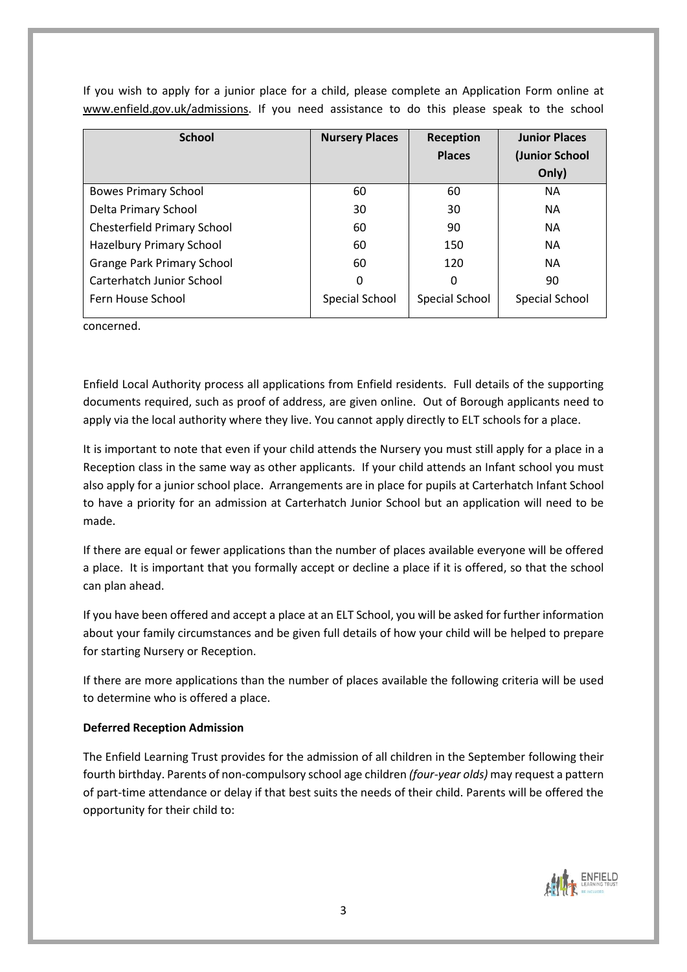| <b>School</b>                      | <b>Nursery Places</b> | Reception      | <b>Junior Places</b> |
|------------------------------------|-----------------------|----------------|----------------------|
|                                    |                       | <b>Places</b>  | (Junior School       |
|                                    |                       |                | Only)                |
| <b>Bowes Primary School</b>        | 60                    | 60             | <b>NA</b>            |
| Delta Primary School               | 30                    | 30             | <b>NA</b>            |
| <b>Chesterfield Primary School</b> | 60                    | 90             | <b>NA</b>            |
| Hazelbury Primary School           | 60                    | 150            | <b>NA</b>            |
| <b>Grange Park Primary School</b>  | 60                    | 120            | <b>NA</b>            |
| <b>Carterhatch Junior School</b>   | 0                     | 0              | 90                   |
| Fern House School                  | Special School        | Special School | Special School       |

If you wish to apply for a junior place for a child, please complete an Application Form online at [www.enfield.gov.uk/admissions.](http://www.enfield.gov.uk/admissions) If you need assistance to do this please speak to the school

concerned.

Enfield Local Authority process all applications from Enfield residents. Full details of the supporting documents required, such as proof of address, are given online. Out of Borough applicants need to apply via the local authority where they live. You cannot apply directly to ELT schools for a place.

It is important to note that even if your child attends the Nursery you must still apply for a place in a Reception class in the same way as other applicants. If your child attends an Infant school you must also apply for a junior school place. Arrangements are in place for pupils at Carterhatch Infant School to have a priority for an admission at Carterhatch Junior School but an application will need to be made.

If there are equal or fewer applications than the number of places available everyone will be offered a place. It is important that you formally accept or decline a place if it is offered, so that the school can plan ahead.

If you have been offered and accept a place at an ELT School, you will be asked for further information about your family circumstances and be given full details of how your child will be helped to prepare for starting Nursery or Reception.

If there are more applications than the number of places available the following criteria will be used to determine who is offered a place.

## **Deferred Reception Admission**

The Enfield Learning Trust provides for the admission of all children in the September following their fourth birthday. Parents of non-compulsory school age children *(four-year olds)* may request a pattern of part-time attendance or delay if that best suits the needs of their child. Parents will be offered the opportunity for their child to:

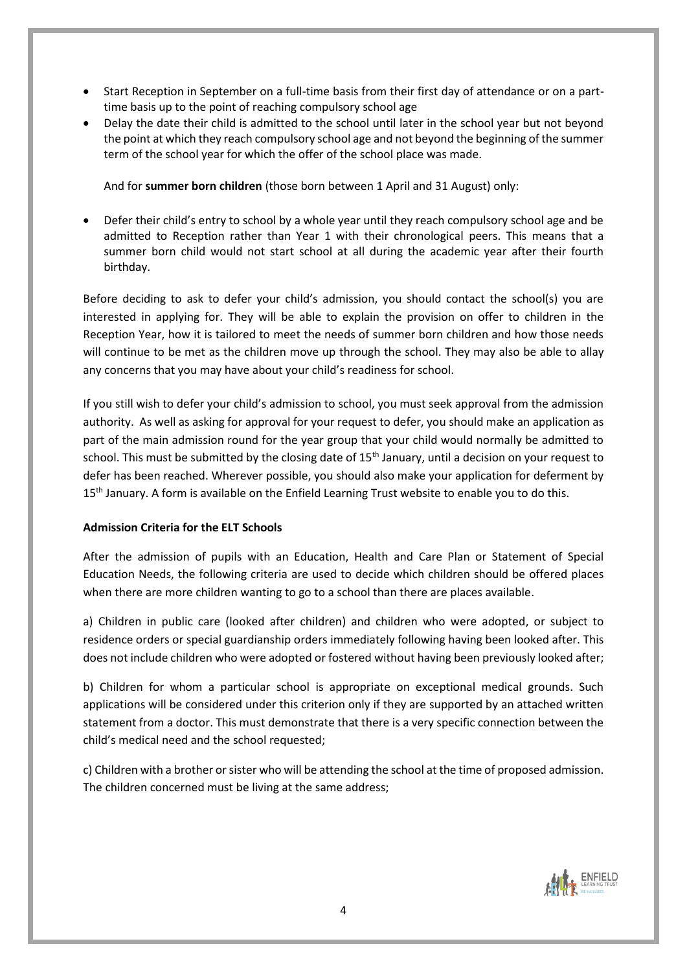- Start Reception in September on a full-time basis from their first day of attendance or on a parttime basis up to the point of reaching compulsory school age
- Delay the date their child is admitted to the school until later in the school year but not beyond the point at which they reach compulsory school age and not beyond the beginning of the summer term of the school year for which the offer of the school place was made.

And for **summer born children** (those born between 1 April and 31 August) only:

 Defer their child's entry to school by a whole year until they reach compulsory school age and be admitted to Reception rather than Year 1 with their chronological peers. This means that a summer born child would not start school at all during the academic year after their fourth birthday.

Before deciding to ask to defer your child's admission, you should contact the school(s) you are interested in applying for. They will be able to explain the provision on offer to children in the Reception Year, how it is tailored to meet the needs of summer born children and how those needs will continue to be met as the children move up through the school. They may also be able to allay any concerns that you may have about your child's readiness for school.

If you still wish to defer your child's admission to school, you must seek approval from the admission authority. As well as asking for approval for your request to defer, you should make an application as part of the main admission round for the year group that your child would normally be admitted to school. This must be submitted by the closing date of 15<sup>th</sup> January, until a decision on your request to defer has been reached. Wherever possible, you should also make your application for deferment by 15<sup>th</sup> January. A form is available on the Enfield Learning Trust website to enable you to do this.

# **Admission Criteria for the ELT Schools**

After the admission of pupils with an Education, Health and Care Plan or Statement of Special Education Needs, the following criteria are used to decide which children should be offered places when there are more children wanting to go to a school than there are places available.

a) Children in public care (looked after children) and children who were adopted, or subject to residence orders or special guardianship orders immediately following having been looked after. This does not include children who were adopted or fostered without having been previously looked after;

b) Children for whom a particular school is appropriate on exceptional medical grounds. Such applications will be considered under this criterion only if they are supported by an attached written statement from a doctor. This must demonstrate that there is a very specific connection between the child's medical need and the school requested;

c) Children with a brother or sister who will be attending the school at the time of proposed admission. The children concerned must be living at the same address;

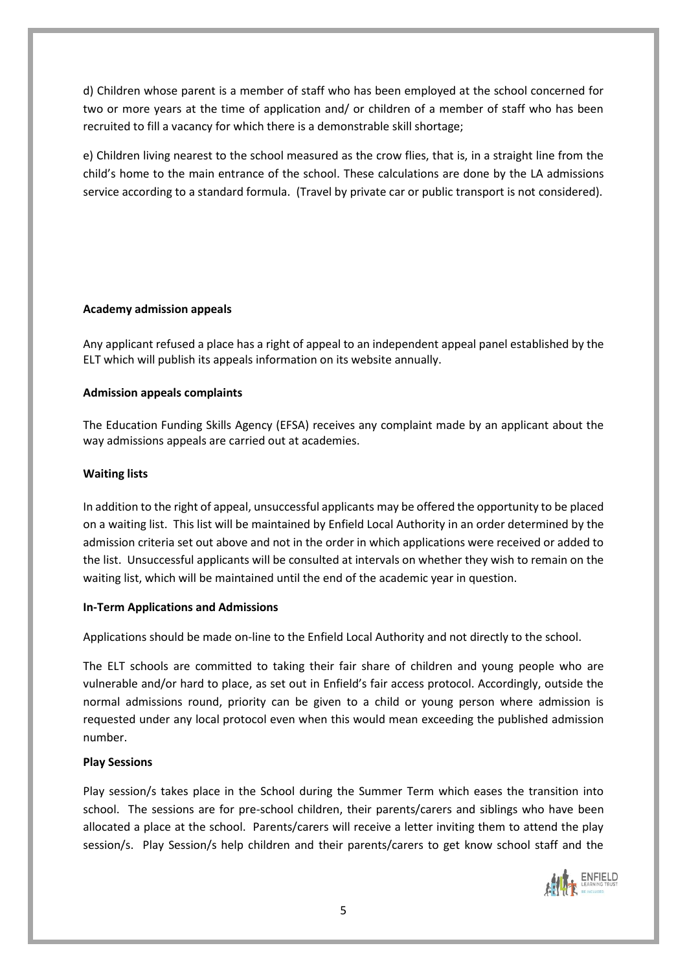d) Children whose parent is a member of staff who has been employed at the school concerned for two or more years at the time of application and/ or children of a member of staff who has been recruited to fill a vacancy for which there is a demonstrable skill shortage;

e) Children living nearest to the school measured as the crow flies, that is, in a straight line from the child's home to the main entrance of the school. These calculations are done by the LA admissions service according to a standard formula. (Travel by private car or public transport is not considered).

# **Academy admission appeals**

Any applicant refused a place has a right of appeal to an independent appeal panel established by the ELT which will publish its appeals information on its website annually.

# **Admission appeals complaints**

The Education Funding Skills Agency (EFSA) receives any complaint made by an applicant about the way admissions appeals are carried out at academies.

# **Waiting lists**

In addition to the right of appeal, unsuccessful applicants may be offered the opportunity to be placed on a waiting list. This list will be maintained by Enfield Local Authority in an order determined by the admission criteria set out above and not in the order in which applications were received or added to the list. Unsuccessful applicants will be consulted at intervals on whether they wish to remain on the waiting list, which will be maintained until the end of the academic year in question.

## **In-Term Applications and Admissions**

Applications should be made on-line to the Enfield Local Authority and not directly to the school.

The ELT schools are committed to taking their fair share of children and young people who are vulnerable and/or hard to place, as set out in Enfield's fair access protocol. Accordingly, outside the normal admissions round, priority can be given to a child or young person where admission is requested under any local protocol even when this would mean exceeding the published admission number.

# **Play Sessions**

Play session/s takes place in the School during the Summer Term which eases the transition into school. The sessions are for pre-school children, their parents/carers and siblings who have been allocated a place at the school. Parents/carers will receive a letter inviting them to attend the play session/s. Play Session/s help children and their parents/carers to get know school staff and the